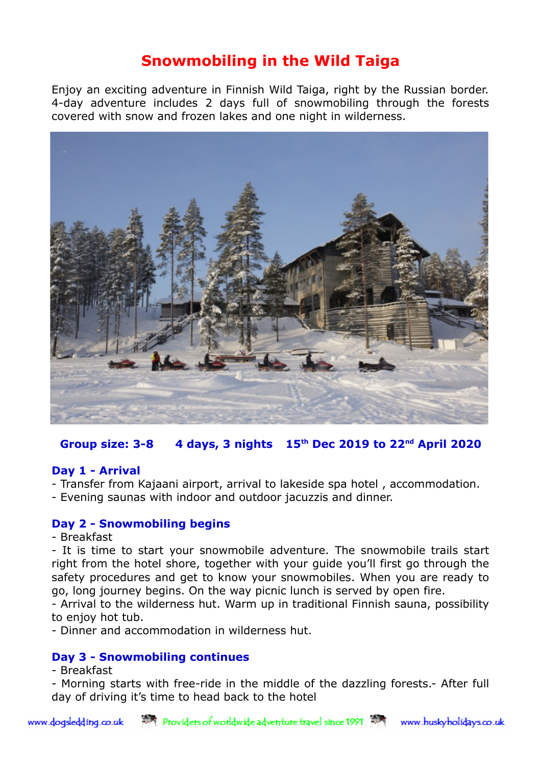# **Snowmobiling in the Wild Taiga**

Enjoy an exciting adventure in Finnish Wild Taiga, right by the Russian border. 4-day adventure includes 2 days full of snowmobiling through the forests covered with snow and frozen lakes and one night in wilderness.



# **Group size: 3-8 4 days, 3 nights 15th Dec 2019 to 22nd April 2020**

### **Day 1 - Arrival**

- Transfer from Kajaani airport, arrival to lakeside spa hotel , accommodation.
- Evening saunas with indoor and outdoor jacuzzis and dinner.

### **Day 2 - Snowmobiling begins**

- Breakfast

- It is time to start your snowmobile adventure. The snowmobile trails start right from the hotel shore, together with your guide you'll first go through the safety procedures and get to know your snowmobiles. When you are ready to go, long journey begins. On the way picnic lunch is served by open fire.

- Arrival to the wilderness hut. Warm up in traditional Finnish sauna, possibility to enjoy hot tub.

- Dinner and accommodation in wilderness hut.

# **Day 3 - Snowmobiling continues**

- Breakfast

- Morning starts with free-ride in the middle of the dazzling forests.- After full day of driving it's time to head back to the hotel